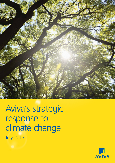

Aviva's strategic response to climate change July 2015

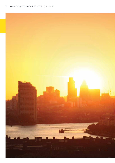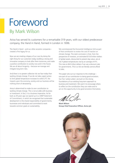### Foreword By Mark Wilson

Aviva has served its customers for a remarkable 319 years, with our oldest predecessor company, the Hand in Hand, formed in London in 1696.

The Hand in Hand – and our other ancestor companies – created a fine legacy for us.

Now we are creating a legacy of our own by doing the right thing for our customers today, building a strong and innovative company to look after them tomorrow, and make a positive contribution to society now and in the future. We are all about longevity – because we manage and mitigate long term risks.

And there is no greater collective risk we face today than tackling climate change. If we do not take urgent action to limit global temperature increases to within 2°C the impacts upon the economy, society and our business will be nothing short of devastating.

Aviva is determined to make its own contribution to tackling climate change. This is not at odds with business or investment. In fact, it is a business imperative. As far back as 20 years ago we signed up to a UNEP Statement of Commitment, in which we recognised that sustainable development is the shared responsibility of governments, businesses and individuals and committed to work towards common goals on sustainability.

We commissioned the Economist Intelligence Unit as part of that contribution to review the cost of inaction on climate change. The stark conclusion is that, from the perspective of investors, an estimated \$13.8 trillion dollars of global assets, discounted to present day value, are at risk if global temperatures rise by an average of 6°C. This rises to \$43 trillion dollars if we use a discount rate for governments. This is a risk we literally cannot afford to take.

This paper sets out our response to the challenge – one part of our contribution to being good ancestors. Our five 'carbon pillars' are built on the strong foundations of our existing long-term approach to business and investment. We want it to encourage others to reflect on the contribution they can make and to act on this opportunity to be good ancestors themselves.

**Mark Wilson Group Chief Executive Officer, Aviva plc**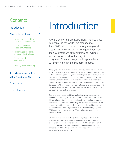#### **Introduction**

#### Five carbon pillars 7

- 1. Integrating climate risk into investment considerations
- 2. Investment in lower carbon infrastructure
- 3. Supporting strong policy action on climate change
- 4. Active stewardship on climate risk
- 5. Divesting where necessary

#### Two decades of action on climate change 12 Conclusion 14 Key references 15

# Contents<br>Introduction 4 Introduction

Aviva is one of the largest pensions and insurance companies in the world. We manage more than £246 billion of assets, making us a global institutional investor. Our history goes back more than 300 years. As both insurers and investors, we are accustomed to thinking about the long term. Climate change is a long-term issue with very real near and mid-term impacts.

The physical effects of climate change have the potential to significantly impact the value of all asset classes, across all geographies. However, there is still no effective global policy mechanism to price carbon or a sufficiently robust policy framework to ensure that the carbon impact is fully priced into the current asset base. This means carbon-intensive companies will continue to benefit, and in many cases thrive, in the short and medium term. Conversely, a 'shock' market correction with regard to carbon price would negatively impact carbon-intensive companies and may trigger a disorderly transition to a low-carbon economy.

Science tells us that our politicians and policymakers have a narrow window of opportunity to take action. The Intergovernmental Panel on Climate Change (IPCC) estimates that in order to limit global temperature increase to 2°C – the internationally agreed goal to avert the most severe and widespread implications of climate change – the world cannot emit more than around 1,000 gigatonnes (Gt) of carbon dioxide (CO<sub>2</sub>) from 2014 onwards. At current rates of  $CO<sub>2</sub>$  emissions, this entire budget expires by 2040.

We have seen positive indications of meaningful action through the Intended Nationally Determined Contribution (INDC) process with commitments by key countries such as China. COP21 presents a timely opportunity to take decisive collective action but we should not lose sight of the fact that this is a long-term issue that will require continued leadership for decades to come.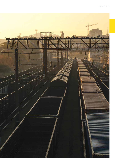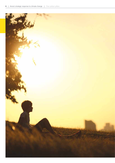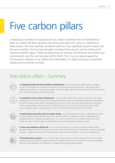## Five carbon pillars

In shaping our priorities for focused action on carbon investment risk we have looked at both our capital allocation decisions and those associated with using our influence as asset owners. We have carefully considered what our most significant positive impact over the issue could be. And we have thought hard about how we can use this influence for optimum positive impact. These five pillars build on existing commitments and outline new commitments over the next five years (2015-2020). This is not just about supporting the long-term interests of our clients and shareholders; it is about ensuring a sustainable society and environment at large.

### Five carbon pillars – Summary



**1. Integrating climate risk into investment considerations** – we will continue to explore ways to integrate carbon risk, alongside other material environmental, social and governance issues (ESG) , and actively seek to collaborate to publish new research and insights. We remain deeply committed to ensuring ESG issues are included in our investment analysis and decision making.



**2. Investment in lower carbon infrastructure** – we will target a £500 million annual investment in low-carbon infrastructure for the next five years. This means more money invested into renewable energy and energy efficiency. We will also target 'carbon returns' alongside financial returns on our investment and are setting an associated carbon savings target for this investment of 100,000 tonnes of  $CO<sub>2</sub>$  annually. The transition to a low-carbon economy requires capital. A large proportion of this will need to be directed towards infrastructure.



**3. Supporting strong policy action on climate change** – we will support policymakers in negotiating a credible long-term greenhouse gas reduction goal at the upcoming UNFCCC negotiations in Paris in December 2015 and beyond that at a national and regional level. It is in all our interests to see a smooth transition to a lower carbon economy. Climate change is a market failure that requires government action to correct.



**4. Active stewardship on climate risk** – we will actively engage with companies to achieve climate-resilient business strategies. We have a fiduciary duty to protect and enhance the value of client assets. Acting as responsible stewards – engaging and voting with the companies where we are shareholders – is central to delivering this.



**5. Divesting where necessary** – we will divest highly carbon-intensive fossil fuel companies where we consider they are not making sufficient progress towards the engagement goals set. This decision will not be taken lightly and only where we believe that divestment is a balanced and proportionate response.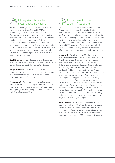#### 1. Integrating climate risk into investment considerations

We are a founding signatory to the UN-backed Principles for Responsible Investment (PRI) and in 2012 committed to integrating ESG issues into all assets across all regions. The asset classes we cover include fixed income, equities and real estate. For example, within real estate we consider flood risk and building-related energy efficiency. Our Responsible Investment integration management system now covers more than 90% of Aviva Investors global AUM (up from 80% in 2013). We do this because we believe it strengthens our investment analysis and decision-making, reducing risk and enhancing long-term value of our own and our clients' investments.

**Our RIO network** – We will use our internal Responsible Investment Officer (RIO) network to continue to share relevant climate change research to facilitate better integration.

**Insight & research** – We will continue to commission, collaborate and contribute to new research on the investment implications of climate change with the aim of facilitating better understanding of climate risk.

**Measurement** – We will identify and undertake carbon foot-printing on a sample equity portfolio from our beneficial holdings to better understand and evaluate the methodology. We support greater transparency and continue to advocate for better data to support this.

#### 2. Investment in lower carbon infrastructure

The transition to a low carbon economy requires capital. A large proportion of this will need to be directed towards infrastructure. The Global Commission on the Economy and Climate identified infrastructure investment needs over the next 15 years, totalling approximately US\$90 trillion between 2015 and 2030. A low-carbon pathway has incremental infrastructure investment requirements of US\$4 trillion between 2015 and 2030, an increase of less than 5% on baseline levels. This is a phenomenal challenge but we see low carbon infrastructure as a good investment for today and tomorrow.

**Investment** – We will target a £500 million annual investment in low-carbon infrastructure for the next five years. Aviva Investors has a strong track record of investing in renewable energy installations (e.g. solar photovoltaic (PV) and wind) and projects that support energy efficiency initiatives (e.g. combined heat and power). We will significantly build on this investment, investing Aviva's own money and that of our clients. This means more money in renewable energy, such as solar PV, wind and other technologies and energy efficiency, such as new energy centres reducing users' demand for energy or increasing the use of waste resources, such as heat. Our focus will be on European infrastructure – we consider Europe the most established market supported by a clear and relatively stable climate change and energy policy framework and therefore the most suitable focus for long-term investors. This policy clarity makes it easier for us to commit capital; another reason why we advocate strong climate policy.

**Measurement** – We will be working with the UK Green Investment Bank to pilot the Green Investment Handbook methodology for our infrastructure investments. We want to see 'carbon returns', as well as financial returns, on our investment and are setting an associated carbon savings target for this investment of 100,000 tonnes  $CO<sub>2</sub>$  annually.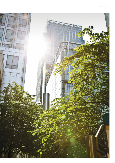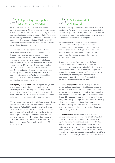#### 3. Supporting strong policy action on climate change

It is in all our interests to see a smooth transition to a lower-carbon economy. Climate change is a particularly acute example of where markets have failed. Addressing this failure requires action throughout the investment chain. We have set out our thinking in the Aviva Roadmap for Sustainable Capital Markets, which was launched in June 2014 by Aviva CEO Mark Wilson when we hosted the United Nations Principles for Sustainable Insurance conference.

The legal framework that informs investment decisions heavily influences the behaviour of the entities in which these assets are invested. Despite a number of legal reviews supporting the integration of environmental, social and governance issues as consistent with fiduciary duty, misunderstanding remains and this can be a barrier to investment. In 2015 we have therefore called on the OECD to consider a Convention on Fiduciary Duty and Long Term Investing that defines a common interpretation of fiduciary duty focused on the long-term rather than purely short-term outcomes. We believe this would do much to mobilise the trillions of pounds required to transition to a low-carbon economy.

**Public policy engagement** – We will support policymakers in negotiating a credible long term greenhouse gas reduction goal at the upcoming UNFCCC negotiations in Paris in December 2015 and beyond that at a national and regional level. We will continue to advocate for broader policy action to make capital markets more sustainable.

We were an early member of the Institutional Investors Group on Climate Change (IIGCC) and have attended previous Conference of Parties (COP) negotiations. We welcome a collaborative approach and will continue to support public policy engagement towards a long-term global emissions reduction goal and the policy and regulatory framework necessary to achieve this in line with previous examples, such as the Carbon Price Communique, the Global Investor Statement on Climate Change and recent Letter to G7 Finance Ministers.



We have a fiduciary duty to protect and enhance the value of client assets. We were in the vanguard of signatories to the UK Stewardship Code and view acting as responsible stewards – engaging with and voting on the companies where we are shareholders – as central to delivering this.

We believe informed engagement has an important role in the transition to a lower-carbon economy. Companies across all sectors need to ensure they have climate-resilient business strategies. Shareholders have a unique role in the stewardship of companies they invest in and the impact of exercising this voice is not to be underestimated.

By way of an example, Aviva was catalytic in forming the Carbon Action programme of the CDP. Carbon Action now has 190 signatories representing \$18 trillion in assets. Notable achievements of this collaborative engagement include that 61 companies (out of 205) set new emissions reduction targets and companies reported reductions of approximately 500 million tonnes of  $CO<sub>2</sub>$  equivalent as a result of emissions reductions activities.

**Company engagement** – We will actively engage with companies to achieve climate-resilient business strategies. We focus on concrete outcomes and commitments from companies, such as reducing or mitigating their own carbon impact now and through their capital expenditure decisions. Responsible corporate engagement on climate and energy policy, either directly or through trade associations, is particularly critical given the need for a strong climate agreement. We engage directly and collectively with other investors, in particular through the Institutional Investors Group on Climate Change (IIGCC).

**Considered voting** – We will use our vote to support our engagement. Since 2001 we have formally integrated sustainability issues into our voting policy. We will vote against the annual report and accounts, specific directors and remuneration reports where we consider material sustainability issues have not been addressed. Our voting and engagement goes hand in hand. We are also strongly supportive of shareholder resolutions, such as the recent BP and Shell resolutions on 'Strategic Resilience for 2035 and Beyond'.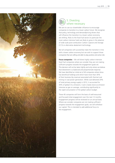



We aim to use our shareholder influence to encourage companies to transition to a lower carbon future. We recognise that policy, technology and demand/pricing drivers that will influence the transition to a lower carbon economy are shifting. Risks to the fossil fuel sector (in particular the most carbon intensive fuels) are likely to grow in the absence of wide scale post-combustion Carbon Capture and Storage (CCS) or alternative abatement technology.

Not all companies will successfully make the transition in line with a lower carbon economy but we wish to support those companies that are willing and able to play positive and active role.

**Focus companies** – We will divest highly carbon-intensive fossil fuel companies where we consider they are not making sufficient progress towards the engagement goals set. This decision will not be taken lightly and only where we believe that divestment is a balanced and proportionate response. We have identified an initial set of 40 companies where Aviva has beneficial holdings and which have more than 30% of their business (by revenue) associated with thermal coal mining or coal power generation. While coal delivered 29% of total primary energy supply in 2012, it accounted for 44% of global  $CO<sub>2</sub>$  emissions. Coal is nearly twice as emission intensive as gas on average, contributing significantly to the rapid consumption of the global carbon budget.

These 40 companies will form the basis of well-resourced and focused initial engagement over the next 12 months. Engagement progress will be reviewed on an annual basis. Where we consider companies are not making sufficient progress towards the engagement goals, we will withdraw our capital. This is intended to add additional focus to the engagement.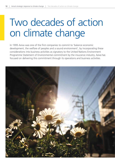### Two decades of action on climate change

In 1995 Aviva was one of the first companies to commit to 'balance economic development, the welfare of peoples and a sound environment', by incorporating these considerations into business activities as signatory to the United Nations Environment Programme Statement of Environmental commitment by the insurance industry. Aviva has focused on delivering this commitment through its operations and business activities.

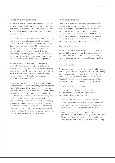#### Environmental reporting

We first published an environmental report in 1998. We have aimed to continuously improve our reporting and last year were pleased to be awarded 94/100 for Disclosure and an 'A' grade for performance by CDP (previously the Carbon Disclosure Project).

Good quality comparative data on climate risk is still lacking for a large proportion of our portfolios. Despite initiatives such as CDP, which we have supported since its inception, Bloomberg Data shows us that of 25,000 companies reviewed, 75% do not produce even one data point on sustainability. Even the most respected 'carbon foot-printing' methodologies focus on a limited proportion of company emissions (scope 1 and scope 2) and in many cases do not look at the carbon impact of the products.

We have actively advocated greater disclosure at a national level, supporting mandatory GHG disclosure in the UK, at an EU level with the Non-Financial Reporting Directive and at the UN level, where we built the Corporate Sustainability Reporting Coalition to present a proposal for a convention on sustainability reporting at the UN Rio+20 Conference in 2012.

In 2008, Aviva Investors catalysed the Sustainable Stock Exchange Initiative, now co-convened by the UN-supported Principles for Responsible Investment, the United Nations Conference on Trade and Development, the United Nations Environment Programme Finance Initiative, and the UN Global Compact. The aim is to advance sustainability and sustainability disclosure of the companies listed on the member exchanges. There are now 23 partner exchanges, including the London Stock Exchange, NYSE, Bovespa and the Johannesburg Stock Exchange. An annual benchmark was launched in 2012. Now in its fourth year, we see that all of the top 10 stock exchanges are located in jurisdictions with mandatory sustainability disclosure policies.

#### Long-term targets

Using 2010 as a baseline we set a long-term operational emissions reduction target of 20% to 2020. By the end of 2014 we had far exceeded this with a 32% reduction. Building on this, we have set new ambitious reduction targets of 40% to 2020 rising to 50% by 2030. We are now committing to measure our strategy against a scientifically benchmarked emissions reduction target – we believe that the long-term targets we have set align to a 2°C level.

#### Renewable energy

We first purchased renewable electricity in 2004. We currently purchase 56% of our worldwide electricity consumption from renewable sources. At the end of this month we will start generating our own onsite renewable electricity at two of our UK locations.

#### Carbon neutral

To complement our in-house emission-reduction initiatives and purchasing of renewable energy, we have purchased voluntary market carbon credits to the equivalent of our remaining operational  $CO<sub>2</sub>$  equivalent emissions since 2006. This made Aviva the first carbon-neutral insurer on a worldwide basis. We have maintained our carbon-neutral stance ever since.

#### Climate-aware business

We strive to integrate climate considerations into our insurance business to benefit our shareholders and our customers. Here are some examples:

- Our sustainable general insurance claims settlement process features energy efficient replacement white goods, improved drying times for water damaged properties, increased restoration rates and reduction of waste.
- Innovative renewable energy insurance we support the industry by providing cover for everything from residential solar PV systems through to micro-hydro turbines and on-shore wind farms, the demand for which has been growing steadily.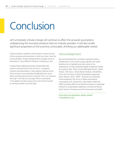### Conclusion

Left unchecked, climate change will continue to affect the actuarial assumptions underpinning the insurance products that our industry provides. It will also render significant proportions of the economy uninsurable, shrinking our addressable market.

Climate change is material to the long-term success of many of the companies and economies in which we invest. Over the coming decades, climate change presents strategic issues to businesses in many different industries, including our own.

Fundamentally, addressing climate change effectively requires concerted action from all actors – companies, investors and policymakers. It also requires collective action. There has been some inspirational leadership from across these constituencies but more is required. This is our response. We hope it will help to encourage others to participate in the debate and take strong action and we look forward to working towards a common goal.

#### Acknowledgements

We have benefited from, and been inspired by, strong collaboration on the climate change agenda. We would therefore like to highlight and thank some of the organisations we have worked alongside to advocate change at a systemic level. These include Aldersgate Group, Carbon Tracker, CDP, Ceres, Climate Bonds Initiative, ClimateWise, Forum for the Future, Forceful Stewardship programme, Green Alliance, IIGCC, NSFM – Network for Sustainable Financial Markets, PRI, Prince of Wales International Sustainability Unit, ShareAction, Tellus Mater, UKSIF and UNEP (including UNEP-FI and UN PSI) University of Cambridge Institute for Sustainability Leadership, University of Oxford Smith School of Enterprise and the Environment and WWF.

**If you have any questions, please contact cr.team@aviva.com**